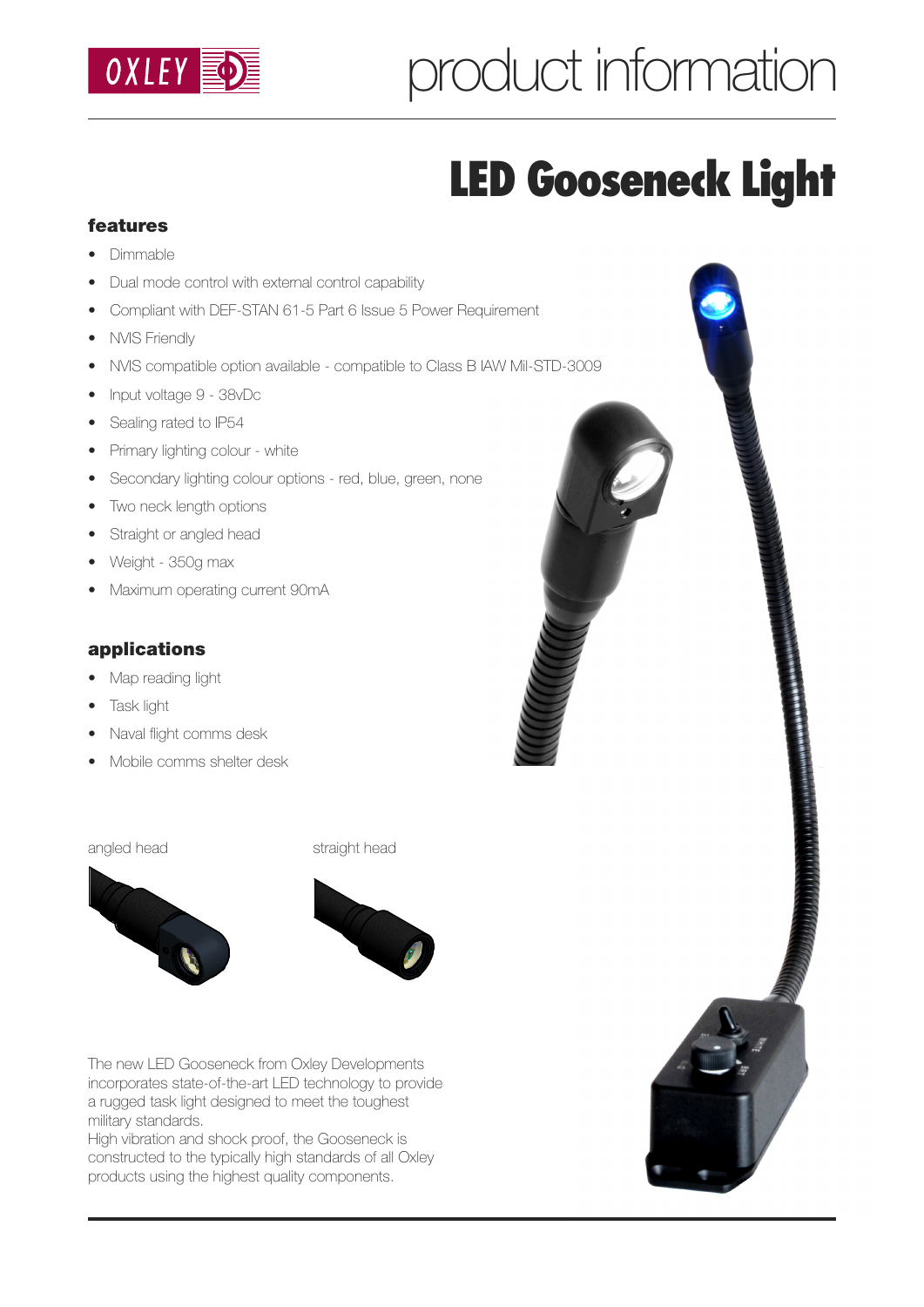

# product information

## **LED Gooseneck Light**

### **features**

- Dimmable
- Dual mode control with external control capability
- Compliant with DEF-STAN 61-5 Part 6 Issue 5 Power Requirement
- NVIS Friendly
- NVIS compatible option available compatible to Class B IAW Mil-STD-3009
- Input voltage 9 38vDc
- Sealing rated to IP54
- Primary lighting colour white
- Secondary lighting colour options red, blue, green, none
- Two neck length options
- Straight or angled head
- Weight 350g max
- Maximum operating current 90mA

#### **applications**

- Map reading light
- Task light
- Naval flight comms desk
- Mobile comms shelter desk



angled head straight head



The new LED Gooseneck from Oxley Developments incorporates state-of-the-art LED technology to provide a rugged task light designed to meet the toughest military standards.

High vibration and shock proof, the Gooseneck is constructed to the typically high standards of all Oxley products using the highest quality components.